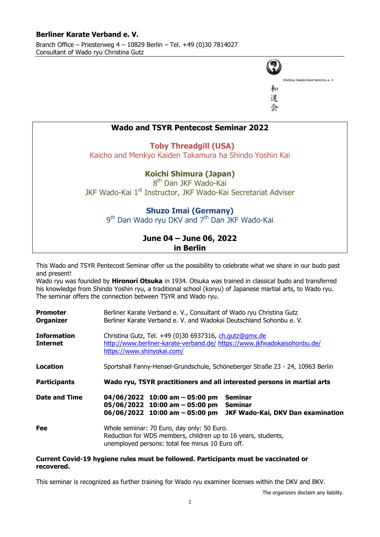#### **Berliner Karate Verband e. V.** Branch Office – Priesterweg 4 – 10829 Berlin – Tel. +49 (0)30 7814027 Consultant of Wado ryu Christina Gutz



和 道



This Wado and TSYR Pentecost Seminar offer us the possibility to celebrate what we share in our budo past and present!

**in Berlin**

Wado ryu was founded by **Hironori Otsuka** in 1934. Otsuka was trained in classical budo and transferred his knowledge from Shindo Yoshin ryu, a traditional school (koryu) of Japanese martial arts, to Wado ryu. The seminar offers the connection between TSYR and Wado ryu.

| <b>Promoter</b><br><b>Organizer</b>   | Berliner Karate Verband e. V., Consultant of Wado ryu Christina Gutz<br>Berliner Karate Verband e. V. and Wadokai Deutschland Sohonbu e. V.                                              |
|---------------------------------------|------------------------------------------------------------------------------------------------------------------------------------------------------------------------------------------|
| <b>Information</b><br><b>Internet</b> | Christina Gutz, Tel. +49 (0)30 6937316, ch.qutz@qmx.de<br>http://www.berliner-karate-verband.de/ https://www.jkfwadokaisohonbu.de/<br>https://www.shinyokai.com/                         |
| Location                              | Sportshall Fanny-Hensel-Grundschule, Schöneberger Straße 23 - 24, 10963 Berlin                                                                                                           |
| <b>Participants</b>                   | Wado ryu, TSYR practitioners and all interested persons in martial arts                                                                                                                  |
| <b>Date and Time</b>                  | <b>Seminar</b><br>$04/06/2022$ 10:00 am - 05:00 pm<br><b>Seminar</b><br>$05/06/2022$ 10:00 am - 05:00 pm<br>$06/06/2022$ 10:00 am - 05:00 pm<br><b>JKF Wado-Kai, DKV Dan examination</b> |
| Fee                                   | Whole seminar: 70 Euro, day only: 50 Euro.<br>Reduction for WDS members, children up to 16 years, students,<br>unemployed persons: total fee minus 10 Euro off.                          |

#### **Current Covid-19 hygiene rules must be followed. Participants must be vaccinated or recovered.**

This seminar is recognized as further training for Wado ryu examiner licenses within the DKV and BKV.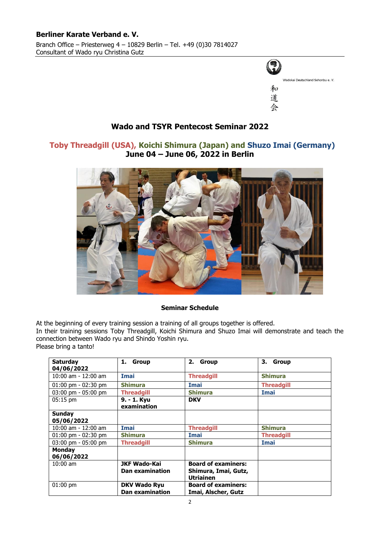#### **Berliner Karate Verband e. V.** Branch Office – Priesterweg 4 – 10829 Berlin – Tel. +49 (0)30 7814027 Consultant of Wado ryu Christina Gutz



## **Wado and TSYR Pentecost Seminar 2022**

## **Toby Threadgill (USA), Koichi Shimura (Japan) and Shuzo Imai (Germany) June 04 – June 06, 2022 in Berlin**



#### **Seminar Schedule**

At the beginning of every training session a training of all groups together is offered. In their training sessions Toby Threadgill, Koichi Shimura and Shuzo Imai will demonstrate and teach the connection between Wado ryu and Shindo Yoshin ryu. Please bring a tanto!

| <b>Saturday</b><br>04/06/2022         | 1. Group                                      | 2. Group                                                               | 3. Group          |
|---------------------------------------|-----------------------------------------------|------------------------------------------------------------------------|-------------------|
| $10:00$ am - $12:00$ am               | <b>Imai</b>                                   | <b>Threadgill</b>                                                      | <b>Shimura</b>    |
| $01:00 \text{ pm} - 02:30 \text{ pm}$ | <b>Shimura</b>                                | <b>Imai</b>                                                            | <b>Threadgill</b> |
| $03:00 \text{ pm} - 05:00 \text{ pm}$ | <b>Threadgill</b>                             | <b>Shimura</b>                                                         | <b>Imai</b>       |
| $05:15$ pm                            | 9. - 1. Kyu<br>examination                    | <b>DKV</b>                                                             |                   |
| <b>Sunday</b>                         |                                               |                                                                        |                   |
| 05/06/2022                            |                                               |                                                                        |                   |
| $10:00$ am - $12:00$ am               | <b>Imai</b>                                   | <b>Threadgill</b>                                                      | <b>Shimura</b>    |
| $01:00$ pm - $02:30$ pm               | <b>Shimura</b>                                | <b>Imai</b>                                                            | <b>Threadgill</b> |
| $03:00 \text{ pm} - 05:00 \text{ pm}$ | <b>Threadgill</b>                             | <b>Shimura</b>                                                         | <b>Imai</b>       |
| <b>Monday</b><br>06/06/2022           |                                               |                                                                        |                   |
| $10:00$ am                            | <b>JKF Wado-Kai</b><br><b>Dan examination</b> | <b>Board of examiners:</b><br>Shimura, Imai, Gutz,<br><b>Utriainen</b> |                   |
| $01:00$ pm                            | <b>DKV Wado Ryu</b><br><b>Dan examination</b> | <b>Board of examiners:</b><br>Imai, Alscher, Gutz                      |                   |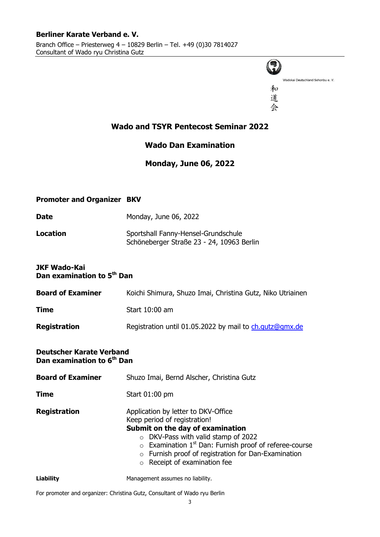

Wadokai Deutschland Sohonbu e. V.

和 道 会

## **Wado and TSYR [Pentecost](http://dict.leo.org/ende?lp=ende&p=thMx..&search=pentecost) Seminar 2022**

## **Wado Dan Examination**

## **Monday, June 06, 2022**

### **Promoter and Organizer BKV**

| <b>Date</b> | Monday, June 06, 2022               |
|-------------|-------------------------------------|
| Location    | Sportshall Fanny-Hensel-Grundschule |

# Schöneberger Straße 23 - 24, 10963 Berlin

#### **JKF Wado-Kai Dan examination to 5th Dan**

| <b>Board of Examiner</b> | Koichi Shimura, Shuzo Imai, Christina Gutz, Niko Utriainen |
|--------------------------|------------------------------------------------------------|
| <b>Time</b>              | Start 10:00 am                                             |
| <b>Registration</b>      | Registration until 01.05.2022 by mail to ch.gutz@gmx.de    |

#### **Deutscher Karate Verband Dan examination to 6th Dan**

| <b>Board of Examiner</b> | Shuzo Imai, Bernd Alscher, Christina Gutz                                                                                                                                                                                                                                                                                     |  |  |
|--------------------------|-------------------------------------------------------------------------------------------------------------------------------------------------------------------------------------------------------------------------------------------------------------------------------------------------------------------------------|--|--|
| Time                     | Start 01:00 pm                                                                                                                                                                                                                                                                                                                |  |  |
| <b>Registration</b>      | Application by letter to DKV-Office<br>Keep period of registration!<br>Submit on the day of examination<br>$\circ$ DKV-Pass with valid stamp of 2022<br>$\circ$ Examination 1 <sup>st</sup> Dan: Furnish proof of referee-course<br>o Furnish proof of registration for Dan-Examination<br>$\circ$ Receipt of examination fee |  |  |
| <b>Liability</b>         | Management assumes no liability.                                                                                                                                                                                                                                                                                              |  |  |

For promoter and organizer: Christina Gutz, Consultant of Wado ryu Berlin